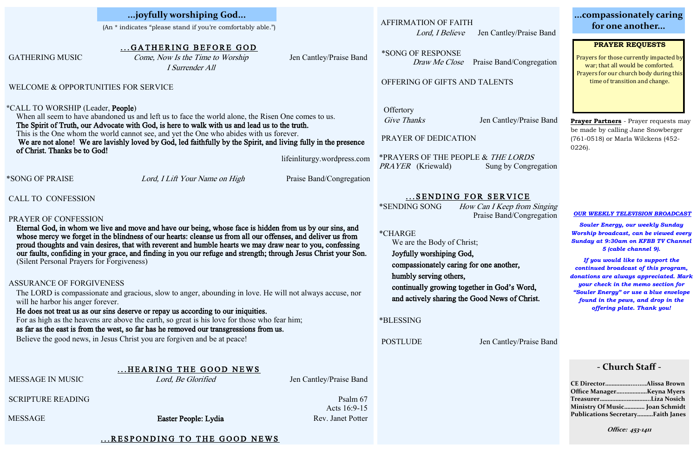AFFIRMATION OF FAITH

ey/Praise Band

 $\overline{C}$ ORDS **Congregation** 

 $VICE$ p from Singing l/Congregation

's Word, of Christ.

ey/Praise Band

|                                                                                                                                                                                                                                                                                                                                                                                                                                                                                                                                                                                                                                                                                                                                                                                                                                                                                                                                                                                                                                                                            | GATHERING BEFORE GOD                                |                          |                                                                                                                                                                                                                                                                                                                                        |                             |
|----------------------------------------------------------------------------------------------------------------------------------------------------------------------------------------------------------------------------------------------------------------------------------------------------------------------------------------------------------------------------------------------------------------------------------------------------------------------------------------------------------------------------------------------------------------------------------------------------------------------------------------------------------------------------------------------------------------------------------------------------------------------------------------------------------------------------------------------------------------------------------------------------------------------------------------------------------------------------------------------------------------------------------------------------------------------------|-----------------------------------------------------|--------------------------|----------------------------------------------------------------------------------------------------------------------------------------------------------------------------------------------------------------------------------------------------------------------------------------------------------------------------------------|-----------------------------|
| <b>GATHERING MUSIC</b>                                                                                                                                                                                                                                                                                                                                                                                                                                                                                                                                                                                                                                                                                                                                                                                                                                                                                                                                                                                                                                                     | Come, Now Is the Time to Worship<br>I Surrender All | Jen Cantley/Praise Band  | *SONG OF RESPONSE<br>Draw Me Close                                                                                                                                                                                                                                                                                                     | Praise Band/Co              |
| WELCOME & OPPORTUNITIES FOR SERVICE                                                                                                                                                                                                                                                                                                                                                                                                                                                                                                                                                                                                                                                                                                                                                                                                                                                                                                                                                                                                                                        | OFFERING OF GIFTS AND TALENTS                       |                          |                                                                                                                                                                                                                                                                                                                                        |                             |
| *CALL TO WORSHIP (Leader, People)<br>When all seem to have abandoned us and left us to face the world alone, the Risen One comes to us.<br>The Spirit of Truth, our Advocate with God, is here to walk with us and lead us to the truth.<br>This is the One whom the world cannot see, and yet the One who abides with us forever.<br>We are not alone! We are lavishly loved by God, led faithfully by the Spirit, and living fully in the presence<br>of Christ. Thanks be to God!<br>lifeinliturgy.wordpress.com<br>*SONG OF PRAISE<br>Lord, I Lift Your Name on High<br>Praise Band/Congregation                                                                                                                                                                                                                                                                                                                                                                                                                                                                       |                                                     |                          | Offertory<br>Give Thanks<br>PRAYER OF DEDICATION<br>*PRAYERS OF THE PEOPLE & THE LOP<br><i>PRAYER</i> (Kriewald)                                                                                                                                                                                                                       | Jen Cantley/I<br>Sung by Co |
| <b>CALL TO CONFESSION</b>                                                                                                                                                                                                                                                                                                                                                                                                                                                                                                                                                                                                                                                                                                                                                                                                                                                                                                                                                                                                                                                  |                                                     |                          |                                                                                                                                                                                                                                                                                                                                        | SENDING FOR SERVIC          |
| PRAYER OF CONFESSION<br>Eternal God, in whom we live and move and have our being, whose face is hidden from us by our sins, and<br>whose mercy we forget in the blindness of our hearts: cleanse us from all our offenses, and deliver us from<br>proud thoughts and vain desires, that with reverent and humble hearts we may draw near to you, confessing<br>our faults, confiding in your grace, and finding in you our refuge and strength; through Jesus Christ your Son.<br>(Silent Personal Prayers for Forgiveness)<br><b>ASSURANCE OF FORGIVENESS</b><br>The LORD is compassionate and gracious, slow to anger, abounding in love. He will not always accuse, nor<br>will he harbor his anger forever.<br>He does not treat us as our sins deserve or repay us according to our iniquities.<br>For as high as the heavens are above the earth, so great is his love for those who fear him;<br>as far as the east is from the west, so far has he removed our transgressions from us.<br>Believe the good news, in Jesus Christ you are forgiven and be at peace! |                                                     |                          | *SENDING SONG<br>How Can I Keep fro<br>Praise Band/Co<br>*CHARGE<br>We are the Body of Christ;<br>Joyfully worshiping God,<br>compassionately caring for one another,<br>humbly serving others,<br>continually growing together in God's W<br>and actively sharing the Good News of C<br>*BLESSING<br><b>POSTLUDE</b><br>Jen Cantley/I |                             |
|                                                                                                                                                                                                                                                                                                                                                                                                                                                                                                                                                                                                                                                                                                                                                                                                                                                                                                                                                                                                                                                                            | HEARING THE GOOD NEWS                               |                          |                                                                                                                                                                                                                                                                                                                                        |                             |
| MESSAGE IN MUSIC                                                                                                                                                                                                                                                                                                                                                                                                                                                                                                                                                                                                                                                                                                                                                                                                                                                                                                                                                                                                                                                           | Lord, Be Glorified                                  | Jen Cantley/Praise Band  |                                                                                                                                                                                                                                                                                                                                        |                             |
| <b>SCRIPTURE READING</b>                                                                                                                                                                                                                                                                                                                                                                                                                                                                                                                                                                                                                                                                                                                                                                                                                                                                                                                                                                                                                                                   |                                                     | Psalm 67<br>Acts 16:9-15 |                                                                                                                                                                                                                                                                                                                                        |                             |
| <b>MESSAGE</b>                                                                                                                                                                                                                                                                                                                                                                                                                                                                                                                                                                                                                                                                                                                                                                                                                                                                                                                                                                                                                                                             | Easter People: Lydia                                | Rev. Janet Potter        |                                                                                                                                                                                                                                                                                                                                        |                             |
|                                                                                                                                                                                                                                                                                                                                                                                                                                                                                                                                                                                                                                                                                                                                                                                                                                                                                                                                                                                                                                                                            |                                                     |                          |                                                                                                                                                                                                                                                                                                                                        |                             |

#### ... RESPONDING TO THE GOOD NEWS

Lord, I Believe Jen Cantley/Praise Band

*l/Congregation* 

(An \* indicates "please stand if you're comfortably able.")

## **...compassionately caring for one another...**

**...joyfully worshiping God...** 

#### *OUR WEEKLY TELEVISION BROADCAST*

*Souler Energy, our weekly Sunday Worship broadcast, can be viewed every Sunday at 9:30am on KFBB TV Channel 5 (cable channel 9).*

*If you would like to support the continued broadcast of this program, donations are always appreciated. Mark your check in the memo section for "Souler Energy" or use a blue envelope found in the pews, and drop in the offering plate. Thank you!*

## **- Church Staff -**

| CE DirectorAlissa Brown                  |  |
|------------------------------------------|--|
| Office ManagerKeyna Myers                |  |
| TreasurerLiza Nosich                     |  |
| Ministry Of Music Joan Schmidt           |  |
| <b>Publications SecretaryFaith Janes</b> |  |

**Office: 453-1411**

#### **PRAYER REQUESTS**

Prayers for those currently impacted by war; that all would be comforted. Prayers for our church body during this time of transition and change.

**Prayer Partners** - Prayer requests may be made by calling Jane Snowberger (761-0518) or Marla Wilckens (452- 0226).